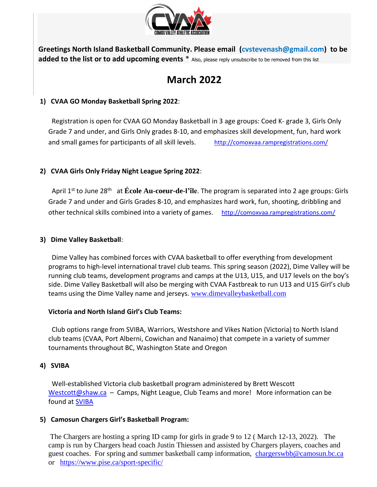

**Greetings North Island Basketball Community. Please email (cvstevenash@gmail.com) to be added to the list or to add upcoming events** \* Also, please reply unsubscribe to be removed from this list

# **March 2022**

# **1) CVAA GO Monday Basketball Spring 2022**:

Registration is open for CVAA GO Monday Basketball in 3 age groups: Coed K- grade 3, Girls Only Grade 7 and under, and Girls Only grades 8-10, and emphasizes skill development, fun, hard work and small games for participants of all skill levels. <http://comoxvaa.rampregistrations.com/>

# **2) CVAA Girls Only Friday Night League Spring 2022**:

April 1<sup>st</sup> to June 28<sup>th</sup> at **École Au-coeur-de-l'île**. The program is separated into 2 age groups: Girls Grade 7 and under and Girls Grades 8-10, and emphasizes hard work, fun, shooting, dribbling and other technical skills combined into a variety of games. <http://comoxvaa.rampregistrations.com/>

## **3) Dime Valley Basketball**:

 Dime Valley has combined forces with CVAA basketball to offer everything from development programs to high-level international travel club teams. This spring season (2022), Dime Valley will be running club teams, development programs and camps at the U13, U15, and U17 levels on the boy's side. Dime Valley Basketball will also be merging with CVAA Fastbreak to run U13 and U15 Girl's club teams using the Dime Valley name and jerseys. [www.dimevalleybasketball.com](http://www.dimevalleybasketball.com/)

## **Victoria and North Island Girl's Club Teams:**

Club options range from SVIBA, Warriors, Westshore and Vikes Nation (Victoria) to North Island club teams (CVAA, Port Alberni, Cowichan and Nanaimo) that compete in a variety of summer tournaments throughout BC, Washington State and Oregon

## **4) SVIBA**

Well-established Victoria club basketball program administered by Brett Wescott [Westcott@shaw.ca](mailto:Westcott@shaw.ca) – Camps, Night League, Club Teams and more! More information can be [found at SVIBA](https://sites.google.com/view/sviba/home) 

# **5) Camosun Chargers Girl's Basketball Program:**

The Chargers are hosting a spring ID camp for girls in grade 9 to 12 ( March 12-13, 2022). The camp is run by Chargers head coach Justin Thiessen and assisted by Chargers players, coaches and guest coaches. For spring and summer basketball camp information, [chargerswbb@camosun.bc.ca](mailto:chargerswbb@camosun.bc.ca)  or <https://www.pise.ca/sport-specific/>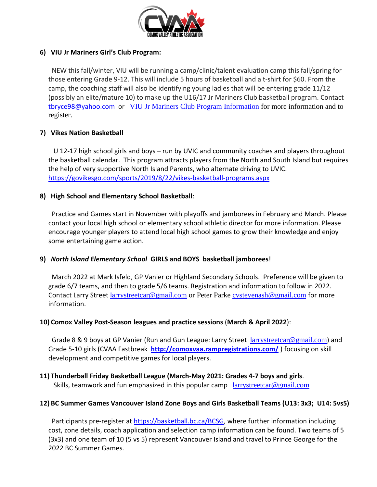

## **6) VIU Jr Mariners Girl's Club Program:**

 NEW this fall/winter, VIU will be running a camp/clinic/talent evaluation camp this fall/spring for those entering Grade 9-12. This will include 5 hours of basketball and a t-shirt for \$60. From the camp, the coaching staff will also be identifying young ladies that will be entering grade 11/12 (possibly an elite/mature 10) to make up the U16/17 Jr Mariners Club basketball program. Contact [tbryce98@yahoo.com](mailto:tbryce98@yahoo.com) or [VIU Jr Mariners Club Program Information](https://viu.prestosports.com/sports/wbkb/2019-20/releases/20190813jnph2m) for more information and to register.

## **7) Vikes Nation Basketball**

 U 12-17 high school girls and boys – run by UVIC and community coaches and players throughout the basketball calendar. This program attracts players from the North and South Island but requires the help of very supportive North Island Parents, who alternate driving to UVIC. <https://govikesgo.com/sports/2019/8/22/vikes-basketball-programs.aspx>

## **8) High School and Elementary School Basketball**:

 Practice and Games start in November with playoffs and jamborees in February and March. Please contact your local high school or elementary school athletic director for more information. Please encourage younger players to attend local high school games to grow their knowledge and enjoy some entertaining game action.

## **9)** *North Island Elementary School* **GIRLS and BOYS basketball jamborees**!

 March 2022 at Mark Isfeld, GP Vanier or Highland Secondary Schools. Preference will be given to grade 6/7 teams, and then to grade 5/6 teams. Registration and information to follow in 2022. Contact Larry Street l[arrystreetcar@gmail.com](mailto:larrystreetcar@gmail.com) or Peter Parke [cvstevenash@gmail.com](cvstevenash@gmail.com%20) for more information.

## **10) Comox Valley Post-Season leagues and practice sessions** (**March & April 2022**):

Grade 8 & 9 boys at GP Vanier (Run and Gun League: Larry Street l[arrystreetcar@gmail.com](mailto:larrystreetcar@gmail.com)) and Grade 5-10 girls (CVAA Fastbreak **<http://comoxvaa.rampregistrations.com/>** ) focusing on skill development and competitive games for local players.

## **11) Thunderball Friday Basketball League (March-May 2021: Grades 4-7 boys and girls**.

Skills, teamwork and fun emphasized in this popular camp l[arrystreetcar@gmail.com](mailto:larrystreetcar@gmail.com)

## **12) BC Summer Games Vancouver Island Zone Boys and Girls Basketball Teams (U13: 3x3; U14: 5vs5)**

Participants pre-register at [https://basketball.bc.ca/BCSG,](https://basketball.bc.ca/BCSG) where further information including cost, zone details, coach application and selection camp information can be found. Two teams of 5 (3x3) and one team of 10 (5 vs 5) represent Vancouver Island and travel to Prince George for the 2022 BC Summer Games.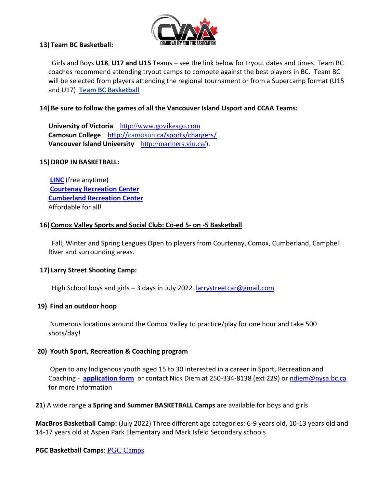

#### **13) Team BC Basketball:**

 Girls and Boys **U18**, **U17 and U15** Teams – see the link below for tryout dates and times. Team BC coaches recommend attending tryout camps to compete against the best players in BC. Team BC will be selected from players attending the regional tournament or from a Supercamp format (U15 and U17) **[Team BC Basketball](https://www.basketball.bc.ca/basketball-bc-provincial-teams)**

#### **14) Be sure to follow the games of all the Vancouver Island Usport and CCAA Teams:**

**University of Victoria** [http://www.govikesgo.com](http://www.govikesgo.com/) **Camosun College** <http://camosun.ca/sports/chargers/> **Vancouver Island University** <http://mariners.viu.ca/>).

#### **15) DROP IN BASKETBALL:**

**[LINC](https://www.courtenay.ca/EN/main/community/recreation/facilities/the-linc-youth-centre.html)** (free anytime) **[Courtenay Recreation](https://www.courtenay.ca/EN/main/community/recreation/facilities/lewis-centre.html) Center [Cumberland Recreation Center](https://cumberland.ca/recreation/)** Affordable for all!

#### **16) Comox Valley [Sports and Social Club: Co-ed 5-](https://comoxvalleysports.ca/leagues/basketball/) on -5 Basketball**

 Fall, Winter and Spring Leagues Open to players from Courtenay, Comox, Cumberland, Campbell River and surrounding areas.

#### **17) Larry Street Shooting Camp:**

High School boys and girls  $-3$  days in July 2022 <larrystreetcar@gmail.com>

#### **19) Find an outdoor hoop**

Numerous locations around the Comox Valley to practice/play for one hour and take 500 shots/day!

#### **20) Youth Sport, Recreation & Coaching program**

Open to any Indigenous youth aged 15 to 30 interested in a career in Sport, Recreation and Coaching - **[application](https://drive.google.com/open?id=1a32DPLxTAAJHcfMs40x5EWJUOc_q1OT1) form** or contact Nick Diem at 250-334-8138 (ext 229) o[r ndiem@nysa.bc.ca](mailto:ndiem@nysa.bc.ca) for more information

**21**) A wide range a **Spring and Summer BASKETBALL Camps** are available for boys and girls

**MacBros Basketball Camp:** (July 2022) Three different age categories: 6-9 years old, 10-13 years old and 14-17 years old at Aspen Park Elementary and Mark Isfeld Secondary schools

#### **PGC Basketball Camps**: [PGC Camps](https://pgcbasketball.com/home-032119/?utm_expid=168070181-49.7VKYdqBzRICieIw8Zyc4Bg.1&utm_referrer=https%3A%2F%2Fwww.google.com%2F)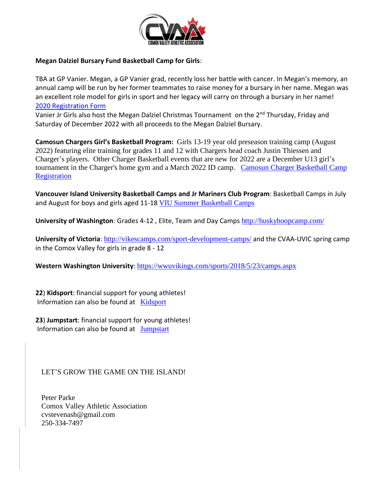

#### **Megan Dalziel Bursary Fund Basketball Camp for Girls**:

TBA at GP Vanier. Megan, a GP Vanier grad, recently loss her battle with cancer. In Megan's memory, an annual camp will be run by her former teammates to raise money for a bursary in her name. Megan was an excellent role model for girls in sport and her legacy will carry on through a bursary in her name! [2020 Registration Form](https://drive.google.com/open?id=15JCXDAlncHm1UOVHDdKp0myeYLcOpAa5)

Vanier Jr Girls also host the Megan Dalziel Christmas Tournament on the 2<sup>nd</sup> Thursday, Friday and Saturday of December 2022 with all proceeds to the Megan Dalziel Bursary.

**Camosun Chargers Girl's Basketball Program:** Girls 13-19 year old preseason training camp (August 2022) featuring elite training for grades 11 and 12 with Chargers head coach Justin Thiessen and Charger's players. Other Charger Basketball events that are new for 2022 are a December U13 girl's tournament in the Charger's home gym and a March 2022 ID camp. Camosun Charger Basketball Camp **[Registration](https://www.pise.ca/sport-specific/)** 

**Vancouver Island University Basketball Camps and Jr Mariners Club Program**: Basketball Camps in July and August for boys and girls aged 11-18 [VIU Summer Basketball Camps](https://www.viu.ca/summer-camps)

**University of Washington**: Grades 4-12 , Elite, Team and Day Camps <http://huskyhoopcamp.com/>

**University of Victoria**: <http://vikescamps.com/sport-development-camps/> and the CVAA-UVIC spring camp in the Comox Valley for girls in grade 8 - 12

**Western Washington University**: <https://wwuvikings.com/sports/2018/5/23/camps.aspx>

**22**) **Kidsport**: financial support for young athletes! Information can also be found at [Kidsport](http://www.kidsportcanada.ca/british-columbia/comox-valley/)

**23**) **Jumpstart**: financial support for young athletes! Information can also be found at [Jumpstart](https://jumpstart.canadiantire.ca/?gclid=CjwKCAjw5Ij2BRBdEiwA0Frc9eraeaRzpAHUAVthr80S0cQxzmDy-3_3sIOeiEXrwbUBwFqjvrQfwxoCNLwQAvD_BwE)

LET'S GROW THE GAME ON THE ISLAND!

Peter Parke Comox Valley Athletic Association cvstevenash@gmail.com 250-334-7497